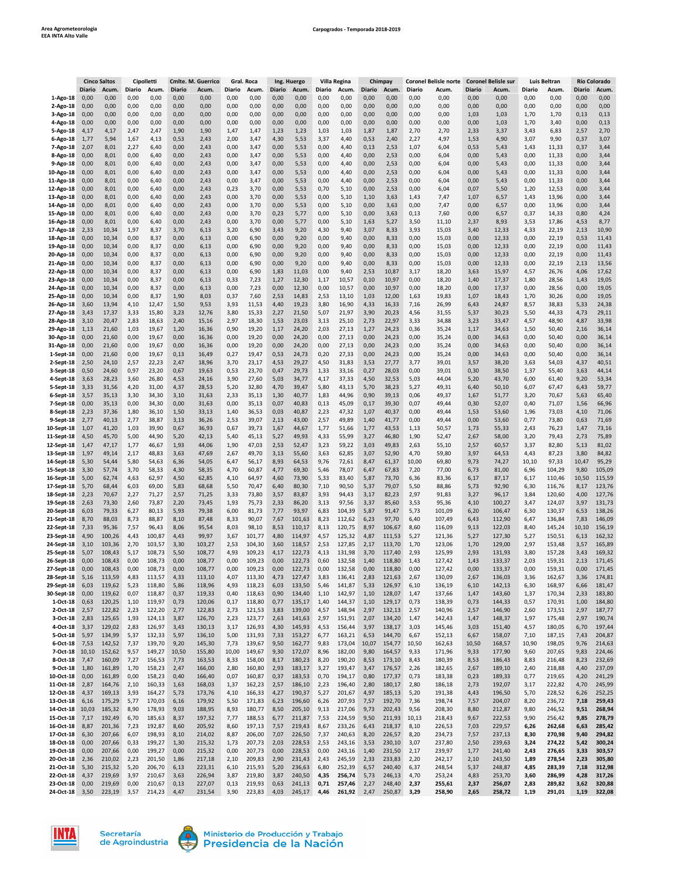|                         | <b>Cinco Saltos</b><br>Cipolletti |                | <b>Cmlte. M. Guerrico</b><br>Gral. Roca |                |               |                | Ing. Huergo  |                |              | Villa Regina<br>Chimpay |              |                |              | <b>Coronel Belisle norte</b> | <b>Coronel Belisle sur</b> |                | Luis Beltran |                | <b>Río Colorado</b> |                |              |                |
|-------------------------|-----------------------------------|----------------|-----------------------------------------|----------------|---------------|----------------|--------------|----------------|--------------|-------------------------|--------------|----------------|--------------|------------------------------|----------------------------|----------------|--------------|----------------|---------------------|----------------|--------------|----------------|
|                         | Diario                            | Acum.          | Diario                                  | Acum.          | <b>Diario</b> | Acum.          | Diario       | Acum.          | Diario       | Acum.                   | Diario       | Acum.          | Diario       | Acum.                        | Diario                     | Acum.          | Diario       | Acum.          | Diario              | Acum.          | Diario       | <b>Acum</b>    |
| 1-Ago-18                | 0,00                              | 0,00           | 0,00                                    | 0,00           | 0,00          | 0,00           | 0,00         | 0,00           | 0,00         | 0,00                    | 0,00         | 0,00           | 0,00         | 0,00                         | 0,00                       | 0,00           | 0,00         | 0,00           | 0,00                | 0,00           | 0,00         | 0,00           |
| 2-Ago-18                | 0,00                              | 0,00           | 0,00                                    | 0,00           | 0,00          | 0,00           | 0,00         | 0,00           | 0,00         | 0,00                    | 0,00         | 0,00           | 0,00         | 0,00                         | 0,00                       | 0,00           | 0,00         | 0,00           | 0,00                | 0,00           | 0,00         | 0,00           |
| 3-Ago-18                | 0,00                              | 0,00           | 0,00                                    | 0,00           | 0,00          | 0,00           | 0,00         | 0,00           | 0,00         | 0,00                    | 0,00         | 0,00           | 0,00         | 0,00                         | 0,00                       | 0,00           | 1,03         | 1,03           | 1,70                | 1,70           | 0,13         | 0,13           |
| 4-Ago-18                | 0,00                              | 0,00           | 0,00                                    | 0,00           | 0,00          | 0,00           | 0,00         | 0,00           | 0,00         | 0,00                    | 0,00         | 0,00           | 0,00         | 0,00                         | 0,00                       | 0,00           | 0,00         | 1,03           | 1,70                | 3,40           | 0,00         | 0,13           |
| 5-Ago-18                | 4,17                              | 4,17           | 2,47                                    | 2,47           | 1,90          | 1,90           | 1,47         | 1,47           | 1,23         | 1,23                    | 1,03         | 1,03           | 1,87         | 1,87                         | 2,70                       | 2,70           | 2,33         | 3,37           | 3,43                | 6,83           | 2,57         | 2,70           |
| 6-Ago-18                | 1,77                              | 5,94           | 1,67                                    | 4,13           | 0,53          | 2,43           | 2,00         | 3,47           | 4,30         | 5,53                    | 3,37         | 4,40           | 0,53         | 2,40                         | 2,27                       | 4,97           | 1,53         | 4,90           | 3,07                | 9,90           | 0,37         | 3,07           |
| 7-Ago-18                | 2,07                              | 8,01           | 2,27                                    | 6,40           | 0,00          | 2,43           | 0,00         | 3,47           | 0,00         | 5,53                    | 0,00         | 4,40           | 0,13         | 2,53                         | 1,07                       | 6,04           | 0,53         | 5,43           | 1,43                | 11,33          | 0,37         | 3,44           |
| 8-Ago-18                | 0,00                              | 8,01           | 0,00                                    | 6,40           | 0,00          | 2,43           | 0,00         | 3,47           | 0,00         | 5,53                    | 0,00         | 4,40           | 0,00         | 2,53                         | 0,00                       | 6,04           | 0,00         | 5,43           | 0,00                | 11,33          | 0,00         | 3,44           |
| 9-Ago-18                | 0,00                              | 8,01           | 0,00                                    | 6,40           | 0,00          | 2,43           | 0,00         | 3,47           | 0,00         | 5,53                    | 0,00         | 4,40           | 0,00         | 2,53                         | 0,00                       | 6,04           | 0,00         | 5,43           | 0,00                | 11,33          | 0,00         | 3,44           |
| 10-Ago-18               | 0,00                              | 8,01           | 0,00                                    | 6,40           | 0,00          | 2,43           | 0,00         | 3,47           | 0,00         | 5,53                    | 0,00         | 4,40           | 0,00         | 2,53                         | 0,00                       | 6,04           | 0,00         | 5,43           | 0,00                | 11,33          | 0,00         | 3,44           |
| 11-Ago-18               | 0,00                              | 8,01           | 0,00                                    | 6,40           | 0,00          | 2,43           | 0,00         | 3,47           | 0,00         | 5,53                    | 0,00         | 4,40           | 0,00         | 2,53                         | 0,00                       | 6,04           | 0,00         | 5,43           | 0,00                | 11,33          | 0,00         | 3,44           |
| 12-Ago-18               | 0,00                              | 8,01           | 0,00                                    | 6,40           | 0,00          | 2,43           | 0,23         | 3,70           | 0,00         | 5,53                    | 0,70         | 5,10           | 0,00         | 2,53                         | 0,00                       | 6,04           | 0,07         | 5,50           | 1,20                | 12,53          | 0,00         | 3,44           |
| 13-Ago-18               | 0,00                              | 8,01           | 0,00                                    | 6,40           | 0,00          | 2,43           | 0,00         | 3,70           | 0,00         | 5,53                    | 0,00         | 5,10           | 1,10         | 3,63                         | 1,43                       | 7,47           | 1,07         | 6,57           | 1,43                | 13,96          | 0,00         | 3,44           |
| 14-Ago-18               | 0,00                              | 8,01           | 0,00                                    | 6,40           | 0,00          | 2,43           | 0,00         | 3,70           | 0,00         | 5,53                    | 0,00         | 5,10           | 0,00         | 3,63                         | 0,00                       | 7,47           | 0,00         | 6,57           | 0,00                | 13,96          | 0,00         | 3,44           |
| 15-Ago-18               | 0,00                              | 8,01           | 0,00                                    | 6,40           | 0,00          | 2,43           | 0,00         | 3,70           | 0,23         | 5,77                    | 0,00         | 5,10           | 0,00         | 3,63                         | 0,13                       | 7,60           | 0,00         | 6,57           | 0,37                | 14,33          | 0,80         | 4,24           |
| 16-Ago-18               | 0,00                              | 8,01           | 0,00                                    | 6,40           | 0,00          | 2,43           | 0,00         | 3,70           | 0,00         | 5,77                    | 0,00         | 5,10           | 1,63         | 5,27                         | 3,50                       | 11,10          | 2,37         | 8,93           | 3,53                | 17,86          | 4,53         | 8,77           |
| 17-Ago-18               | 2,33                              | 10,34          | 1,97                                    | 8,37           | 3,70          | 6,13           | 3,20         | 6,90           | 3,43         | 9,20                    | 4,30         | 9,40           | 3,07         | 8,33                         | 3,93                       | 15,03          | 3,40         | 12,33          | 4,33                | 22,19          | 2,13         | 10,90          |
| 18-Ago-18               | 0,00                              | 10,34          | 0,00                                    | 8,37           | 0,00          | 6,13           | 0,00         | 6,90           | 0,00         | 9,20                    | 0,00         | 9,40           | 0,00         | 8,33                         | 0,00                       | 15,03          | 0,00         | 12,33          | 0,00                | 22,19          | 0,53         | 11,43          |
| 19-Ago-18               | 0,00                              | 10,34          | 0,00                                    | 8,37           | 0,00          | 6, 13          | 0,00         | 6,90           | 0,00         | 9,20                    | 0,00         | 9,40           | 0,00         | 8,33                         | 0,00                       | 15,03          | 0,00         | 12,33          | 0,00                | 22,19          | 0,00         | 11,43          |
| 20-Ago-18               | 0,00                              | 10,34          | 0,00                                    | 8,37           | 0,00          | 6, 13          | 0,00         | 6,90           | 0,00         | 9,20                    | 0,00         | 9,40           | 0,00         | 8,33                         | 0,00                       | 15,03          | 0,00         | 12,33          | 0,00                | 22,19          | 0,00         | 11,43          |
| 21-Ago-18               | 0,00                              | 10,34          | 0,00                                    | 8,37           | 0,00          | 6,13           | 0,00         | 6,90           | 0,00         | 9,20                    | 0,00         | 9,40           | 0,00         | 8,33                         | 0,00                       | 15,03          | 0,00         | 12,33          | 0,00                | 22,19          | 2,13         | 13,56          |
| 22-Ago-18               | 0,00                              | 10,34          | 0,00                                    | 8,37           | 0,00          | 6,13           | 0,00         | 6,90           | 1,83         | 11,03                   | 0,00         | 9,40           | 2,53         | 10,87                        | 3,17                       | 18,20          | 3,63         | 15,97          | 4,57                | 26,76          | 4,06         | 17,62          |
| 23-Ago-18               | 0,00                              | 10,34          | 0,00                                    | 8,37           | 0,00          | 6,13           | 0,33         | 7,23           | 1,27         | 12,30                   | 1,17         | 10,57          | 0,10         | 10,97                        | 0,00                       | 18,20          | 1,40         | 17,37          | 1,80                | 28,56          | 1,43         | 19,05          |
| 24-Ago-18               | 0,00                              | 10,34          | 0,00                                    | 8,37           | 0,00          | 6,13           | 0,00         | 7,23           | 0,00         | 12,30                   | 0,00         | 10,57          | 0,00         | 10,97                        | 0,00                       | 18,20          | 0,00         | 17,37          | 0,00                | 28,56          | 0,00         | 19,05          |
| 25-Ago-18               | 0,00                              | 10,34          | 0,00                                    | 8,37           | 1,90          | 8,03           | 0,37         | 7,60           | 2,53         | 14,83                   | 2,53         | 13,10          | 1,03         | 12,00                        | 1,63                       | 19,83          | 1,07         | 18,43          | 1,70                | 30,26          | 0,00         | 19,05          |
| 26-Ago-18               | 3,60                              | 13,94          | 4,10                                    | 12,47          | 1,50          | 9,53           | 3,93         | 11,53          | 4,40         | 19,23                   | 3,80         | 16,90          | 4,33         | 16,33                        | 7,16                       | 26,99          | 6,43         | 24,87          | 8,57                | 38,83          | 5,33         | 24,38          |
| 27-Ago-18               | 3,43                              | 17,37          | 3,33                                    | 15,80          | 3,23          | 12,76          | 3,80         | 15,33          | 2,27         | 21,50                   | 5,07         | 21,97          | 3,90         | 20,23                        | 4,56                       | 31,55          | 5,37         | 30,23          | 5,50                | 44,33          | 4,73         | 29,11          |
| 28-Ago-18               | 3,10                              | 20,47          | 2,83                                    | 18,63          | 2,40          | 15,16          | 2,97         | 18,30          | 1,53         | 23,03                   | 3,13         | 25,10          | 2,73         | 22,97                        | 3,33                       | 34,88          | 3,23         | 33,47          | 4,57                | 48,90          | 4,87         | 33,98          |
| 29-Ago-18               | 1,13                              | 21,60          | 1,03                                    | 19,67          | 1,20          | 16,36          | 0,90         | 19,20          | 1,17         | 24,20                   | 2,03         | 27,13          | 1,27         | 24,23                        | 0,36                       | 35,24          | 1,17         | 34,63          | 1,50                | 50,40          | 2,16         | 36,14          |
| 30-Ago-18               | 0,00                              | 21,60          | 0,00                                    | 19,67          | 0,00          | 16,36          | 0,00         | 19,20          | 0,00         | 24,20                   | 0,00         | 27,13          | 0,00         | 24,23                        | 0,00                       | 35,24          | 0,00         | 34,63          | 0,00                | 50,40          | 0,00         | 36,14          |
| 31-Ago-18               | 0,00                              | 21,60          | 0,00                                    | 19,67          | 0,00          | 16,36          | 0,00         | 19,20          | 0,00         | 24,20                   | 0,00         | 27,13          | 0,00         | 24,23                        | 0,00                       | 35,24          | 0,00         | 34,63          | 0,00                | 50,40          | 0,00         | 36,14          |
| 1-Sept-18               | 0,00                              | 21,60          | 0,00                                    | 19,67          | 0,13          | 16,49          | 0,27         | 19,47          | 0,53         | 24,73                   | 0,20         | 27,33          | 0,00         | 24,23                        | 0,00                       | 35,24          | 0,00         | 34,63          | 0,00                | 50,40          | 0,00         | 36,14          |
| 2-Sept-18               | 2,50                              | 24,10          | 2,57                                    | 22,23          | 2,47          | 18,96          | 3,70         | 23,17          | 4,53         | 29,27                   | 4,50         | 31,83          | 3,53         | 27,77                        | 3,77                       | 39,01          | 3,57         | 38,20          | 3,63                | 54,03          | 4,37         | 40,51          |
| 3-Sept-18               | 0,50                              | 24,60          | 0,97                                    | 23,20          | 0,67          | 19,63          | 0,53         | 23,70          | 0,47         | 29,73                   | 1,33         | 33,16          | 0,27         | 28,03                        | 0,00                       | 39,01          | 0,30         | 38,50          | 1,37                | 55,40          | 3,63         | 44,14          |
| 4-Sept-18               | 3,63                              | 28,23          | 3,60                                    | 26,80          | 4,53          | 24,16          | 3,90         | 27,60          | 5,03         | 34,77                   | 4,17         | 37,33          | 4,50         | 32,53                        | 5,03                       | 44,04          | 5,20         | 43,70          | 6,00                | 61,40          | 9,20         | 53,34          |
| 5-Sept-18               | 3,33                              | 31,56          | 4,20                                    | 31,00          | 4,37          | 28,53          | 5,20         | 32,80          | 4,70         | 39,47                   | 5,80         | 43,13          | 5,70         | 38,23                        | 5,27                       | 49,31          | 6,40         | 50,10          | 6,07                | 67,47          | 6,43         | 59,77          |
| 6-Sept-18               | 3,57                              | 35,13          | 3,30                                    | 34,30          | 3,10          | 31,63          | 2,33         | 35,13          | 1,30         | 40,77                   | 1,83         | 44,96          | 0,90         | 39,13                        | 0,06                       | 49,37          | 1,67         | 51,77          | 3,20                | 70,67          | 5,63         | 65,40          |
| 7-Sept-18               | 0,00                              | 35,13          | 0,00                                    | 34,30          | 0,00          | 31,63          | 0,00         | 35,13          | 0,07         | 40,83                   | 0,13         | 45,09          | 0,17         | 39,30                        | 0,07                       | 49,44          | 0,30         | 52,07          | 0,40                | 71,07          | 1,56         | 66,96          |
| 8-Sept-18               | 2,23                              | 37,36          | 1,80                                    | 36,10          | 1,50          | 33,13          | 1,40         | 36,53<br>39,07 | 0,03         | 40,87                   | 2,23         | 47,32<br>49,89 | 1,07         | 40,37                        | 0,00                       | 49,44          | 1,53<br>0,00 | 53,60<br>53,60 | 1,96                | 73,03<br>73,80 | 4,10<br>0,63 | 71,06          |
| 9-Sept-18<br>10-Sept-18 | 2,77<br>1,07                      | 40,13<br>41,20 | 2,77<br>1,03                            | 38,87<br>39,90 | 3,13<br>0,67  | 36,26<br>36,93 | 2,53<br>0,67 | 39,73          | 2,13<br>1,67 | 43,00<br>44,67          | 2,57<br>1,77 | 51,66          | 1,40<br>1,77 | 41,77<br>43,53               | 0,00<br>1,13               | 49,44<br>50,57 | 1,73         | 55,33          | 0,77<br>2,43        | 76,23          | 1,47         | 71,69<br>73,16 |
| 11-Sept-18              | 4,50                              | 45,70          | 5,00                                    | 44,90          | 5,20          | 42,13          | 5,40         | 45,13          | 5,27         | 49,93                   | 4,33         | 55,99          | 3,27         | 46,80                        | 1,90                       | 52,47          | 2,67         | 58,00          | 3,20                | 79,43          | 2,73         | 75,89          |
| 12-Sept-18              | 1,47                              | 47,17          | 1,77                                    | 46,67          | 1,93          | 44,06          | 1,90         | 47,03          | 2,53         | 52,47                   | 3,23         | 59,22          | 3,03         | 49,83                        | 2,63                       | 55,10          | 2,57         | 60,57          | 3,37                | 82,80          | 5,13         | 81,02          |
| 13-Sept-18              | 1,97                              | 49,14          | 2,17                                    | 48,83          | 3,63          | 47,69          | 2,67         | 49,70          | 3,13         | 55,60                   | 3,63         | 62,85          | 3,07         | 52,90                        | 4,70                       | 59,80          | 3,97         | 64,53          | 4,43                | 87,23          | 3,80         | 84,82          |
| 14-Sept-18              | 5,30                              | 54,44          | 5,80                                    | 54,63          | 6,36          | 54,05          | 6,47         | 56,17          | 8,93         | 64,53                   | 9,76         | 72,61          | 8,47         | 61,37                        | 10,00                      | 69,80          | 9,73         | 74,27          | 10,10               | 97,33          | 10,47        | 95,29          |
| 15-Sept-18              | 3,30                              | 57,74          | 3,70                                    | 58,33          | 4,30          | 58,35          | 4,70         | 60,87          | 4,77         | 69,30                   | 5,46         | 78,07          | 6,47         | 67,83                        | 7,20                       | 77,00          | 6,73         | 81,00          | 6,96                | 104,29         | 9,80         | 105,09         |
| 16-Sept-18              | 5,00                              | 62,74          | 4,63                                    | 62,97          | 4,50          | 62,85          | 4,10         | 64,97          | 4,60         | 73,90                   | 5,33         | 83,40          | 5,87         | 73,70                        | 6,36                       | 83,36          | 6,17         | 87,17          | 6,17                | 110,46         | 10,50        | 115,59         |
| 17-Sept-18              | 5,70                              | 68,44          | 6,03                                    | 69,00          | 5,83          | 68,68          | 5,50         | 70,47          | 6,40         | 80,30                   | 7,10         | 90,50          | 5,37         | 79,07                        | 5,50                       | 88,86          | 5,73         | 92,90          | 6,30                | 116,76         | 8,17         | 123,76         |
| 18-Sept-18              | 2,23                              | 70,67          | 2,27                                    | 71,27          | 2,57          | 71,25          | 3,33         | 73,80          | 3,57         | 83,87                   | 3,93         | 94,43          | 3,17         | 82,23                        | 2,97                       | 91,83          | 3,27         | 96,17          | 3,84                | 120,60         | 4,00         | 127,76         |
| 19-Sept-18              | 2,63                              | 73,30          | 2,60                                    | 73,87          | 2,20          | 73,45          | 1,93         | 75,73          | 2,33         | 86,20                   | 3,13         | 97,56          | 3,37         | 85,60                        | 3,53                       | 95,36          | 4,10         | 100,27         | 3,47                | 124,07         | 3,97         | 131,73         |
| 20-Sept-18              | 6,03                              | 79,33          | 6,27                                    | 80,13          | 5,93          | 79,38          | 6,00         | 81,73          | 7,77         | 93,97                   | 6,83         | 104,39         | 5,87         | 91,47                        | 5,73                       | 101,09         | 6,20         | 106,47         | 6,30                | 130,37         | 6,53         | 138,26         |
| 21-Sept-18              | 8,70                              | 88,03          | 8,73                                    | 88,87          | 8,10          | 87,48          | 8,33         | 90,07          | 7,67         | 101,63                  | 8,23         | 112,62         | 6,23         | 97,70                        | 6,40                       | 107,49         | 6,43         | 112,90         | 6,47                | 136,84         | 7,83         | 146,09         |
| 22-Sept-18              | 7,33                              | 95,36          | 7,57                                    | 96,43          | 8,06          | 95,54          | 8,03         | 98,10          | 8,53         | 110,17                  | 8,13         | 120,75         | 8,97         | 106,67                       | 8,60                       | 116,09         | 9,13         | 122,03         | 8,40                | 145,24         | 10,10        | 156,19         |
| 23-Sept-18              | 4,90                              | 100,26         | 4,43                                    | 100,87         | 4,43          | 99,97          | 3,67         | 101,77         | 4,80         | 114,97                  | 4,57         | 125,32         | 4,87         | 111,53                       | 5,27                       | 121,36         | 5,27         | 127,30         | 5,27                | 150,51         | 6,13         | 162,32         |
| 24-Sept-18              | 3,10                              | 103,36         | 2,70                                    | 103,57         | 3,30          | 103,27         | 2,53         | 104,30         | 3,60         | 118,57                  | 2,53         | 127,85         | 2,17         | 113,70                       | 1,70                       | 123,06         | 1,70         | 129,00         | 2,97                | 153,48         | 3,57         | 165,89         |
| 25-Sept-18              | 5,07                              | 108,43         | 5,17                                    | 108,73         | 5,50          | 108,77         | 4,93         | 109,23         | 4,17         | 122,73                  | 4,13         | 131,98         | 3,70         | 117,40                       | 2,93                       | 125,99         | 2,93         | 131,93         | 3,80                | 157,28         | 3,43         | 169,32         |
| 26-Sept-18              | 0,00                              | 108,43         | 0,00                                    | 108,73         | 0,00          | 108,77         | 0,00         | 109,23         | 0,00         | 122,73                  | 0,60         | 132,58         | 1,40         | 118,80                       | 1,43                       | 127,42         | 1,43         | 133,37         | 2,03                | 159,31         | 2,13         | 171,45         |
| 27-Sept-18              | 0,00                              | 108,43         | 0,00                                    | 108,73         | 0,00          | 108,77         | 0,00         | 109,23         | 0,00         | 122,73                  | 0,00         | 132,58         | 0,00         | 118,80                       | 0,00                       | 127,42         | 0,00         | 133,37         | 0,00                | 159,31         | 0,00         | 171,45         |
| 28-Sept-18              | 5,16                              | 113,59         | 4,83                                    | 113,57         | 4,33          | 113,10         | 4,07         | 113,30         | 4,73         | 127,47                  | 3,83         | 136,           | 2,83         | 121,63                       | 2,61                       | 130,09         | 2,67         | 136,03         | 3,36                | 162,67         | 3,36         | 1/4,81         |
| 29-Sept-18              | 6,03                              | 119,62         | 5,23                                    | 118,80         | 5,86          | 118,96         | 4,93         | 118,23         | 6,03         | 133,50                  | 5,46         | 141,87         | 5,33         | 126,97                       | 6,10                       | 136,19         | 6,10         | 142,13         | 6,30                | 168,97         | 6,66         | 181,47         |
| 30-Sept-18              | 0,00                              | 119,62         | 0,07                                    | 118,87         | 0,37          | 119,33         | 0,40         | 118,63         | 0,90         | 134,40                  | 1,10         | 142,97         | 1,10         | 128,07                       | 1,47                       | 137,66         | 1,47         | 143,60         | 1,37                | 170,34         | 2,33         | 183,80         |
| 1-Oct-18                | 0,63                              | 120,25         | 1,10                                    | 119,97         | 0,73          | 120,06         | 0,17         | 118,80         | 0,77         | 135,17                  | 1,40         | 144,37         | 1,10         | 129,17                       | 0,73                       | 138,39         | 0,73         | 144,33         | 0,57                | 170,91         | 1,00         | 184,80         |
| 2-Oct-18                | 2,57                              | 122,82         | 2,23                                    | 122,20         | 2,77          | 122,83         | 2,73         | 121,53         | 3,83         | 139,00                  | 4,57         | 148,94         | 2,97         | 132,13                       | 2,57                       | 140,96         | 2,57         | 146,90         | 2,60                | 173,51         | 2,97         | 187,77         |
| 3-Oct-18                | 2,83                              | 125,65         | 1,93                                    | 124,13         | 3,87          | 126,70         | 2,23         | 123,77         | 2,63         | 141,63                  | 2,97         | 151,91         | 2,07         | 134,20                       | 1,47                       | 142,43         | 1,47         | 148,37         | 1,97                | 175,48         | 2,97         | 190,74         |
| 4-Oct-18                | 3,37                              | 129,02         | 2,83                                    | 126,97         | 3,43          | 130,13         | 3,17         | 126,93         | 4,30         | 145,93                  | 4,53         | 156,44         | 3,97         | 138,17                       | 3,03                       | 145,46         | 3,03         | 151,40         | 4,57                | 180,05         | 6,70         | 197,44         |
| 5-Oct-18                | 5,97                              | 134,99         | 5,37                                    | 132,33         | 5,97          | 136,10         | 5,00         | 131,93         | 7,33         | 153,27                  | 6,77         | 163,21         | 6,53         | 144,70                       | 6,67                       | 152,13         | 6,67         | 158,07         | 7,10                | 187,15         | 7,43         | 204,87         |
| $6$ -Oct-18             | 7,53                              | 142,52         | 7,37                                    | 139,70         | 9,20          | 145,30         | 7,73         | 139,67         | 9,50         | 162,77                  | 9,83         | 173,04         | 10,07        | 154,77                       | 10,50                      | 162,63         | 10,50        | 168,57         | 10,90               | 198,05         | 9,76         | 214,63         |
| 7-Oct-18 10,10          |                                   | 152,62         | 9,57                                    | 149,27         | 10,50         | 155,80         | 10,00        | 149,67         | 9,30         | 172,07                  | 8,96         | 182,00         | 9,80         | 164,57                       | 9,33                       | 171,96         | 9,33         | 177,90         | 9,60                | 207,65         | 9,83         | 224,46         |
| 8-Oct-18                | 7,47                              | 160,09         | 7,27                                    | 156,53         | 7,73          | 163,53         | 8,33         | 158,00         | 8,17         | 180,23                  | 8,20         | 190,20         | 8,53         | 173,10                       | 8,43                       | 180,39         | 8,53         | 186,43         | 8,83                | 216,48         | 8,23         | 232,69         |
| 9-Oct-18                | 1,80                              | 161,89         | 1,70                                    | 158,23         | 2,47          | 166,00         | 2,80         | 160,80         | 2,93         | 183,17                  | 3,27         | 193,47         | 3,47         | 176,57                       | 2,26                       | 182,65         | 2,67         | 189,10         | 2,40                | 218,88         | 4,40         | 237,09         |
| 10-Oct-18               | 0,00                              | 161,89         | 0,00                                    | 158,23         | 0,40          | 166,40         | 0,07         | 160,87         | 0,37         | 183,53                  | 0,70         | 194,17         | 0,80         | 177,37                       | 0,73                       | 183,38         | 0,23         | 189,33         | 0,77                | 219,65         | 4,20         | 241,29         |
| 11-Oct-18               | 2,87                              | 164,76         | 2,10                                    | 160,33         | 1,63          | 168,03         | 1,37         | 162,23         | 2,57         | 186,10                  | 2,23         | 196,40         | 2,80         | 180,17                       | 2,80                       | 186,18         | 2,73         | 192,07         | 3,17                | 222,82         | 4,70         | 245,99         |
| 12-Oct-18               | 4,37                              | 169,13         | 3,93                                    | 164,27         | 5,73          | 173,76         | 4,10         | 166,33         | 4,27         | 190,37                  | 5,27         | 201,67         | 4,97         | 185,13                       | 5,20                       | 191,38         | 4,43         | 196,50         | 5,70                | 228,52         | 6,26         | 252,25         |
| 13-Oct-18               | 6,16                              | 175,29         | 5,77                                    | 170,03         | 6,16          | 179,92         | 5,50         | 171,83         | 6,23         | 196,60                  | 6,26         | 207,93         | 7,57         | 192,70                       | 7,36                       | 198,74         | 7,57         | 204,07         | 8,20                | 236,72         | 7,18         | 259,43         |
| 14-Oct-18               | 10,03                             | 185,32         | 8,90                                    | 178,93         | 9,03          | 188,95         | 8,93         | 180,77         | 8,50         | 205,10                  | 9,13         | 217,06         | 9,73         | 202,43                       | 9,56                       | 208,30         | 8,80         | 212,87         | 9,80                | 246,52         | 9,51         | 268,94         |
| 15-Oct-18               | 7,17                              | 192,49         | 6,70                                    | 185,63         | 8,37          | 197,32         | 7,77         | 188,53         | 6,77         | 211,87                  | 7,53         | 224,59         | 9,50         | 211,93                       | 10,13                      | 218,43         | 9,67         | 222,53         | 9,90                | 256,42         | 9,85         | 278,79         |
| 16-Oct-18               | 8,87                              | 201,36         | 7,23                                    | 192,87         | 8,60          | 205,92         | 8,60         | 197,13         | 7,57         | 219,43                  | 8,67         | 233,26         | 6,43         | 218,37                       | 8,10                       | 226,53         | 7,03         | 229,57         | 6,26                | 262,68         | 6,63         | 285,42         |
| 17-Oct-18               | 6,30                              | 207,66         | 6,07                                    | 198,93         | 8,10          | 214,02         | 8,87         | 206,00         | 7,07         | 226,50                  | 7,37         | 240,63         | 8,20         | 226,57                       | 8,20                       | 234,73         | 7,57         | 237,13         | 8,30                | 270,98         | 9,40         | 294,82         |
| 18-Oct-18               | 0,00                              | 207,66         | 0,33                                    | 199,27         | 1,30          | 215,32         | 1,73         | 207,73         | 2,03         | 228,53                  | 2,53         | 243,16         | 3,53         | 230,10                       | 3,07                       | 237,80         | 2,50         | 239,63         | 3,24                | 274,22         | 5,42         | 300,24         |
| 19-Oct-18               | 0,00                              | 207,66         | 0,00                                    | 199,27         | 0,00          | 215,32         | 0,00         | 207,73         | 0,00         | 228,53                  | 0,00         | 243,16         | 1,40         | 231,50                       | 2,17                       | 239,97         | 1,77         | 241,40         | 2,43                | 276,65         | 3,33         | 303,57         |
| 20-Oct-18               | 2,36                              | 210,02         | 2,23                                    | 201,50         | 1,86          | 217,18         | 2,10         | 209,83         | 2,90         | 231,43                  | 2,43         | 245,59         | 2,33         | 233,83                       | 2,20                       | 242,17         | 2,10         | 243,50         | 1,89                | 278,54         | 2,23         | 305,80         |
| 21-Oct-18               | 5,30                              | 215,32         | 5,20                                    | 206,70         | 6, 13         | 223,31         | 6,10         | 215,93         | 5,20         | 236,63                  | 6,80         | 252,39         | 6,57         | 240,40                       | 6,37                       | 248,54         | 5,37         | 248,87         | 4,85                | 283,39         | 7,18         | 312,98         |
| 22-Oct-18               | 4,37                              | 219,69         | 3,97                                    | 210,67         | 3,63          | 226,94         | 3,87         | 219,80         | 3,87         | 240,50                  | 4,35         | 256,74         | 5,73         | 246,13                       | 4,70                       | 253,24         | 4,83         | 253,70         | 3,60                | 286,99         | 4,28         | 317,26         |
| 23-Oct-18               | 0,00                              | 219,69         | 0,00                                    | 210,67         | 0,13          | 227,07         | 0,13         | 219,93         | 0,63         | 241,13                  | 0,71         | 257,46         | 2,27         | 248,40                       | 2,37                       | 255,61         | 2,37         | 256,07         | 2,83                | 289,82         | 3,62         | 320,88         |
| 24-Oct-18 3,50          |                                   | 223,19         | 3,57                                    | 214,23         | 4,47          | 231,54         | 3,90         | 223,83         | 4,03         | 245,17                  | 4,46         | 261,92         | 2,47         | 250,87                       | 3,29                       | 258,90         | 2,65         | 258,72         | 1,19                | 291,01         | 1,19         | 322,08         |



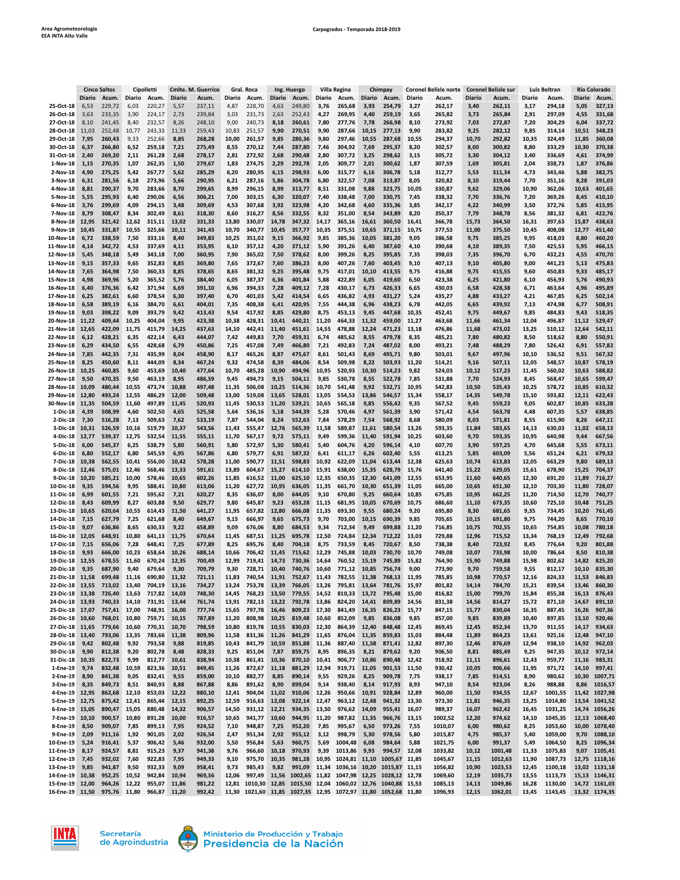|                                    | <b>Cinco Saltos</b><br>Cipolletti |                        |                | Cmlte. M. Guerrico<br>Gral. Roca |                |                  |                | Ing. Huergo      |                | Villa Regina                 |                | Chimpay                                                                                                                  |                | <b>Coronel Belisle norte</b> |                | <b>Coronel Belisle sur</b> |                | Luis Beltran       |                | <b>Río Colorado</b> |                |                                |
|------------------------------------|-----------------------------------|------------------------|----------------|----------------------------------|----------------|------------------|----------------|------------------|----------------|------------------------------|----------------|--------------------------------------------------------------------------------------------------------------------------|----------------|------------------------------|----------------|----------------------------|----------------|--------------------|----------------|---------------------|----------------|--------------------------------|
|                                    | <b>Diario</b>                     | Acum.                  | Diario         | Acum.                            | <b>Diario</b>  | Acum.            | Diario         | Acum.            | Diario         | Acum.                        | Diario         | Acum.                                                                                                                    | <b>Diario</b>  | Acum.                        | Diario         | Acum.                      | <b>Diario</b>  | Acum.              | Diario         | Acum.               | <b>Diario</b>  | Acum.                          |
| 25-Oct-18                          | 6,53                              | 229,72                 | 6,03           | 220,27                           | 5,57           | 237,11           | 4,87           | 228,70           | 4,63           | 249,80                       | 3,76           | 265,68                                                                                                                   | 3,93           | 254,79                       | 3,27           | 262,17                     | 3,40           | 262,11             | 3,17           | 294,18              | 5,05           | 327,13                         |
| 26-Oct-18                          | 3,63                              | 233,35                 | 3,90           | 224,17                           | 2,73           | 239,84           | 3,03           | 231,73           | 2,63           | 252,43                       | 4,27           | 269,95                                                                                                                   | 4,40           | 259,19                       | 3,65           | 265,82                     | 3,73           | 265,84             | 2,91           | 297,09              | 4,55           | 331,68                         |
| 27-Oct-18                          | 8,10                              | 241,45                 | 8,40           | 232,57                           | 8,26           | 248,10           | 9,00           | 240,73           | 8,18           | 260,61                       | 7,80           | 277,76                                                                                                                   | 7,78           | 266,98                       | 8,10           | 273,92                     | 7,03           | 272,87             | 7,20           | 304,29              | 6,04           | 337,72                         |
| 28-Oct-18                          | 11,03                             | 252,48                 | 10,77          | 243,33                           | 11,33          | 259,43           | 10,83          | 251,57           | 9,90           | 270,51                       | 9,90           | 287,66                                                                                                                   | 10,15          | 277,13                       | 9,90           | 283,82                     | 9,25           | 282,12             | 9,85           | 314,14              | 10,51          | 348,23                         |
| 29-Oct-18<br>30-Oct-18             | 7,95<br>6,37                      | 260,43<br>266,80       | 9,33<br>6,52   | 252,66<br>259,18                 | 8,85<br>7,21   | 268,28<br>275,49 | 10,00<br>8,55  | 261,57<br>270,12 | 9,85<br>7,44   | 280,36<br>287,80             | 9,80<br>7,46   | 297,46<br>304,92                                                                                                         | 10,55<br>7,69  | 287,68<br>295,37             | 10,55<br>8,20  | 294,37<br>302,57           | 10,70<br>8,00  | 292,82<br>300,82   | 10,35<br>8,80  | 324,49<br>333,29    | 11,85<br>10,30 | 360,08<br>370,38               |
| 31-Oct-18                          | 2,40                              | 269,20                 | 2,11           | 261,28                           | 2,68           | 278,17           | 2,81           | 272,92           | 2,68           | 290,48                       | 2,80           | 307,72                                                                                                                   | 3,25           | 298,62                       | 3,15           | 305,72                     | 3,30           | 304,12             | 3,40           | 336,69              | 4,61           | 374,99                         |
| 1-Nov-18                           | 1,15                              | 270,35                 | 1,07           | 262,35                           | 1,50           | 279,67           | 1,83           | 274,75           | 2,29           | 292,78                       | 2,05           | 309,77                                                                                                                   | 2,01           | 300,62                       | 1,87           | 307,59                     | 1,69           | 305,81             | 2,04           | 338,73              | 1,87           | 376,86                         |
| 2-Nov-18                           | 4,90                              | 275,25                 | 5,42           | 267,77                           | 5,62           | 285,29           | 6,20           | 280,95           | 6,15           | 298,93                       | 6,00           | 315,77                                                                                                                   | 6,16           | 306,78                       | 5,18           | 312,77                     | 5,53           | 311,34             | 4,73           | 343,46              | 5,88           | 382,75                         |
| 3-Nov-18                           | 6,31                              | 281,56                 | 6,18           | 273,96                           | 5,66           | 290,95           | 6,21           | 287,16           | 5,86           | 304,78                       | 6,80           | 322,57                                                                                                                   | 7,08           | 313,87                       | 8,05           | 320,82                     | 8,10           | 319,44             | 7,70           | 351,16              | 8,28           | 391,03                         |
| 4-Nov-18                           | 8,81                              | 290,37                 | 9,70           | 283,66                           | 8,70           | 299,65           | 8,99           | 296,15           | 8,99           | 313,77                       | 8,51           | 331,08                                                                                                                   | 9,88           | 323,75                       | 10,05          | 330,87                     | 9,62           | 329,06             | 10,90          | 362,06              | 10,63          | 401,65                         |
| 5-Nov-18                           | 5,55                              | 295,93                 | 6,40           | 290,06                           | 6,56           | 306,21           | 7,00           | 303,15           | 6,30           | 320,07                       | 7,40           | 338,48                                                                                                                   | 7,00           | 330,75                       | 7,45           | 338,32                     | 7,70           | 336,76             | 7,20           | 369,26              | 8,45           | 410,10                         |
| 6-Nov-18                           | 3,76                              | 299,69                 | 4,09           | 294,15                           | 3,48           | 309,69           | 4,53           | 307,68           | 3,92           | 323,98                       | 4,20           | 342,68                                                                                                                   | 4,60           | 335,36                       | 3,85           | 342,17                     | 4,22           | 340,99             | 3,50           | 372,76              | 5,85           | 415,95                         |
| 7-Nov-18                           | 8,79                              | 308,47                 | 8,34           | 302,49                           | 8,61           | 318,30           | 8,60           | 316,27           | 8,56           | 332,55                       | 8,32           | 351,00                                                                                                                   | 8,54           | 343,89                       | 8,20           | 350,37                     | 7,79           | 348,78             | 8,56           | 381,32              | 6,81           | 422,76                         |
| 8-Nov-18                           | 12,95                             | 321,42                 | 12,62          | 315,11                           | 13,02          | 331,33           | 13,80          | 330,07           | 14,78          | 347,32                       | 14,17          | 365,16                                                                                                                   | 16,61          | 360,50                       | 16,41          | 366,78                     | 15,73          | 364,50             | 16,31          | 397,63              | 15,87          | 438,63                         |
| 9-Nov-18                           | 10,45                             | 331,87                 | 10,55          | 325,66                           | 10,11          | 341,43           | 10,70          | 340,77           | 10,45          | 357,77                       | 10,35          | 375,51                                                                                                                   | 10,65          | 371,15                       | 10,75          | 377,53                     | 11,00          | 375,50             | 10,45          | 408,08              | 12,77          | 451,40                         |
| 10-Nov-18                          | 6,72                              | 338,59                 | 7,50           | 333,16                           | 8,40           | 349,83           | 10,25          | 351,02           | 9,15           | 366,92                       | 9,85           | 385,36                                                                                                                   | 10,05          | 381,20                       | 9,05           | 386,58                     | 9,75           | 385,25             | 9,95           | 418,03              | 8,80           | 460,20                         |
| 11-Nov-18                          | 4,14                              | 342,72                 | 4,53           | 337,69                           | 4,11           | 353,95           | 6,10           | 357,12           | 4,20           | 371,12                       | 5,90           | 391,26                                                                                                                   | 6,40           | 387,60                       | 4,10           | 390,68                     | 4,10           | 389,35             | 7,50           | 425,53              | 5,95           | 466,15                         |
| 12-Nov-18                          | 5,45                              | 348,18                 | 5,49           | 343,18                           | 7,00           | 360,95           | 7,90           | 365,02           | 7,50           | 378,62                       | 8,00           | 399,26                                                                                                                   | 8,25           | 395,85                       | 7,35           | 398,03                     | 7,35           | 396,70             | 6,70           | 432,23              | 4,55           | 470,70                         |
| 13-Nov-18                          | 9,15                              | 357,33                 | 9,65           | 352,83                           | 8,85           | 369,80           | 7,65           | 372,67           | 7,60           | 386,23                       | 8,00           | 407,26                                                                                                                   | 7,60           | 403,45                       | 9,10           | 407,13                     | 9,10           | 405,80             | 9,00           | 441,23              | 5,13           | 475,83                         |
| 14-Nov-18                          | 7,65                              | 364,98                 | 7,50           | 360,33                           | 8,85           | 378,65           | 8,65           | 381,32           | 9,25           | 395,48                       | 9,75           | 417,01                                                                                                                   | 10,10          | 413,55                       | 9,75           | 416,88                     | 9,75           | 415,55             | 9,60           | 450,83              | 9,33           | 485,17                         |
| 15-Nov-18                          | 4,98                              | 369,96                 | 5,20           | 365,52                           | 5,76           | 384,40           | 6,05           | 387,37           | 6,36           | 401,84                       | 5,88           | 422,89                                                                                                                   | 6,05           | 419,60                       | 6,50           | 423,38                     | 6,25           | 421,80             | 6,10           | 456,93              | 5,76           | 490,93                         |
| 16-Nov-18                          | 6,40                              | 376,36                 | 6,42           | 371,94                           | 6,69           | 391,10           | 6,96           | 394,33           | 7,28           | 409,12                       | 7,28           | 430,17                                                                                                                   | 6,73           | 426,33                       | 6,65           | 430,03                     | 6,58           | 428,38             | 6,71           | 463,64              | 4,96           | 495,89                         |
| 17-Nov-18                          | 6,25                              | 382,61                 | 6,60           | 378,54                           | 6,30           | 397,40           | 6,70           | 401,03           | 5,42           | 414,54                       | 6,65           | 436,82                                                                                                                   | 4,93           | 431,27                       | 5,24           | 435,27                     | 4,88           | 433,27             | 4,21           | 467,85              | 6,25           | 502,14                         |
| 18-Nov-18                          | 6,58                              | 389,19                 | 6,16           | 384,70                           | 6,61           | 404,01           | 7,35           | 408,38           | 6,41           | 420,95                       | 7,55           | 444,38                                                                                                                   | 6,96           | 438,23                       | 6,78           | 442,05                     | 6,65           | 439,92             | 7,13           | 474,98              | 6,77           | 508,91                         |
| 19-Nov-18                          | 9,03                              | 398,22                 | 9,09           | 393,79                           | 9,42           | 413,43           | 9,54           | 417,92           | 8,85           | 429,80                       | 8,75           | 453,13                                                                                                                   | 9,45           | 447,68                       | 10,35          | 452,41                     | 9,75           | 449,67             | 9,85           | 484,83              | 9,43           | 518,35                         |
| 20-Nov-18                          | 11,22                             | 409,44                 | 10,25          | 404,04                           | 9,95           | 423,38           | 10,38          | 428,31           | 10,41          | 440,21                       | 11,20          | 464,33                                                                                                                   | 11,32          | 459,00                       | 11,27          | 463,68                     | 11,66          | 461,34             | 12,04          | 496,87              | 11,12          | 529,47                         |
| 21-Nov-18                          | 12,65                             | 422,09                 | 11,75          | 415,79                           | 14,25          | 437,63           | 14,10          | 442,41           | 11,40          | 451,61                       | 14,55          | 478,88                                                                                                                   | 12,24          | 471,23                       | 13,18          | 476,86                     | 11,68          | 473,02             | 13,25          | 510,12              | 12,64          | 542,11                         |
| 22-Nov-18                          | 6,12                              | 428,21                 | 6,35           | 422,14                           | 6,43           | 444,07           | 7,42           | 449,83           | 7,70           | 459,31                       | 6,74           | 485,62                                                                                                                   | 8,55           | 479,78                       | 8,35           | 485,21                     | 7,80           | 480,82             | 8,50           | 518,62              | 8,80           | 550,91                         |
| 23-Nov-18                          | 6,29                              | 434,50                 | 6,55           | 428,68                           | 6,79           | 450,86           | 7,25           | 457,08           | 7,49           | 466,80                       | 7,21           | 492,83                                                                                                                   | 7,24           | 487,02                       | 8,00           | 493,21                     | 7,48           | 488,29             | 7,80           | 526,42              | 6,91           | 557,82                         |
| 24-Nov-18                          | 7,85                              | 442,35                 | 7,31           | 435,99                           | 8,04           | 458,90           | 8,17           | 465,26           | 8,87           | 475,67                       | 8,61           | 501,43                                                                                                                   | 8,69           | 495,71                       | 9,80           | 503,01                     | 9,67           | 497,96             | 10,10          | 536,52              | 9,51           | 567,32                         |
| 25-Nov-18                          | 8,25                              | 450,60                 | 8,11           | 444,09                           | 8,34           | 467,24           | 9,32           | 474,58           | 8,39           | 484,06                       | 8,54           | 509,98                                                                                                                   | 8,22           | 503,93                       | 11,20          | 514,21                     | 9,16           | 507,11             | 12,05          | 548,57              | 10,87          | 578,19                         |
| 26-Nov-18<br>27-Nov-18             | 10,25                             | 460,85                 | 9,60           | 453,69                           | 10,40          | 477,64<br>486,59 | 10,70<br>9,45  | 485,28<br>494,73 | 10,90          | 494,96                       | 10,95          | 520,93                                                                                                                   | 10,30          | 514,23                       | 9,82           | 524,03                     | 10,12          | 517,23             | 11,45          | 560,02<br>568,47    | 10,63          | 588,82                         |
| 28-Nov-18                          | 9,50<br>10,09                     | 470,35<br>480,44       | 9,50<br>10,55  | 463,19<br>473,74                 | 8,95<br>10,88  | 497,48           |                | 506,08           | 9,15<br>10,25  | 504,11                       | 9,85           | 530,78<br>541,48                                                                                                         | 8,55<br>9,92   | 522,78<br>532,71             | 7,85<br>10,95  | 531,88<br>542,83           | 7,70<br>10,50  | 524,93             | 8,45<br>10,25  | 578,72              | 10,65<br>10,85 | 599,47<br>610,32               |
| 29-Nov-18                          | 12,80                             | 493,24                 | 12,55          | 486,29                           | 12,00          | 509,48           | 11,35<br>13,00 | 519,08           | 13,65          | 514,36<br>528,01             | 10,70<br>13,05 | 554,53                                                                                                                   | 13,86          | 546,57                       | 15,34          | 558,17                     | 14,35          | 535,43<br>549,78   | 15,10          | 593,82              | 12,11          | 622,43                         |
| 30-Nov-18                          | 11,35                             | 504,59                 | 11,60          | 497,89                           | 11,45          | 520,93           | 11,45          | 530,53           | 11,20          | 539,21                       | 10,65          | 565,18                                                                                                                   | 9,85           | 556,42                       | 9,35           | 567,52                     | 9,45           | 559,23             | 9,05           | 602,87              | 10,85          | 633,28                         |
| 1-Dic-18                           | 4,39                              | 508,99                 | 4,60           | 502,50                           | 4,65           | 525,58           | 5,64           | 536,16           | 5,18           | 544,39                       | 5,28           | 570,46                                                                                                                   | 4,97           | 561,39                       | 3,90           | 571,42                     | 4,54           | 563,78             | 4,48           | 607,35              | 5,57           | 638,85                         |
| 2-Dic-18                           | 7,30                              | 516,28                 | 7,13           | 509,63                           | 7,62           | 533,19           | 7,87           | 544,04           | 8,24           | 552,63                       | 7,84           | 578,29                                                                                                                   | 7,54           | 568,92                       | 8,68           | 580,09                     | 8,03           | 571,81             | 8,55           | 615,90              | 8,26           | 647,11                         |
| 3-Dic-18                           | 10,31                             | 526,59                 | 10,16          | 519,79                           | 10,37          | 543,56           | 11,43          | 555,47           | 12,76          | 565,39                       | 11,58          | 589,87                                                                                                                   | 11,61          | 580,54                       | 13,26          | 593,35                     | 11,84          | 583,65             | 14,13          | 630,03              | 11,02          | 658,13                         |
| 4-Dic-18                           | 12,77                             | 539,37                 | 12,75          | 532,54                           | 11,55          | 555,11           | 11,70          | 567,17           | 9,72           | 575,11                       | 9,49           | 599,36                                                                                                                   | 11,40          | 591,94                       | 10,25          | 603,60                     | 9,70           | 593,35             | 10,95          | 640,98              | 9,44           | 667,56                         |
| 5-Dic-18                           | 6,00                              | 545,37                 | 6,25           | 538,79                           | 5,80           | 560,91           | 5,80           | 572,97           | 5,30           | 580,41                       | 5,40           | 604,76                                                                                                                   | 4,20           | 596,14                       | 4,10           | 607,70                     | 3,90           | 597,25             | 4,70           | 645,68              | 5,55           | 673,11                         |
| 6-Dic-18                           | 6,80                              | 552,17                 | 6,80           | 545,59                           | 6,95           | 567,86           | 6,80           | 579,77           | 6,91           | 587,32                       | 6,41           | 611,17                                                                                                                   | 6,26           | 602,40                       | 5,55           | 613,25                     | 5,85           | 603,09             | 5,56           | 651,24              | 6,21           | 679,32                         |
| 7-Dic-18                           | 10,38                             | 562,55                 | 10,41          | 556,00                           | 10,42          | 578,28           | 11,00          | 590,77           | 11,51          | 598,83                       | 10,92          | 622,09                                                                                                                   | 11,04          | 613,44                       | 12,38          | 625,63                     | 10,74          | 613,83             | 12,05          | 663,29              | 9,80           | 689,13                         |
| 8-Dic-18                           | 12,46                             | 575,01                 | 12,46          | 568,46                           | 13,33          | 591,61           | 13,89          | 604,67           | 15,27          | 614,10                       | 15,91          | 638,00                                                                                                                   | 15,35          | 628,79                       | 15,76          | 641,40                     | 15,22          | 629,05             | 15,61          | 678,90              | 15,25          | 704,37                         |
| 9-Dic-18                           | 10,20                             | 585,21                 | 10,00          | 578,46                           | 10,65          | 602,26           | 11,85          | 616,52           | 11,00          | 625,10                       | 12,35          | 650,35                                                                                                                   | 12,30          | 641,09                       | 12,55          | 653,95                     | 11,60          | 640,65             | 12,30          | 691,20              | 11,89          | 716,27                         |
| 10-Dic-18                          | 9,35                              | 594,56                 | 9,95           | 588,41                           | 10,80          | 613,06           | 11,20          | 627,72           | 10,95          | 636,05                       | 11,35          | 661,70                                                                                                                   | 10,30          | 651,39                       | 11,05          | 665,00                     | 10,65          | 651,30             | 12,10          | 703,30              | 11,80          | 728,07                         |
| 11-Dic-18                          | 6,99                              | 601,55                 | 7,21           | 595,62                           | 7,21           | 620,27           | 8,35           | 636,07           | 8,00           | 644,05                       | 9,10           | 670,80                                                                                                                   | 9,25           | 660,64                       | 10,85          | 675,85                     | 10,95          | 662,25             | 11,20          | 714,50              | 12,70          | 740,77                         |
| 12-Dic-18                          | 8,43                              | 609,99                 | 8,27           | 603,88                           | 9,50           | 629,77           | 9,80           | 645,87           | 9,23           | 653,28                       | 11,15          | 681,95                                                                                                                   | 10,05          | 670,69                       | 10,75          | 686,60                     | 11,10          | 673,35             | 10,60          | 725,10              | 10,48          | 751,25                         |
| 13-Dic-18                          | 10,65                             | 620,64                 | 10,55          | 614,43                           | 11,50          | 641,27           | 11,95          | 657,82           | 12,80          | 666,08                       | 11,35          | 693,30                                                                                                                   | 9,55           | 680,24                       | 9,20           | 695,80                     | 8,30           | 681,65             | 9,35           | 734,45              | 10,20          | 761,45                         |
| 14-Dic-18                          | 7,15                              | 627,79                 | 7,25           | 621,68                           | 8,40           | 649,67           | 9,15           | 666,97           | 9,65           | 675,73                       | 9,70           | 703,00                                                                                                                   | 10,15          | 690,39                       | 9,85           | 705,65                     | 10,15          | 691,80             | 9,75           | 744,20              | 8,65           | 770,10                         |
| 15-Dic-18                          | 9,07                              | 636,86                 | 8,65           | 630,33                           | 9,22           | 658,89           | 9,09           | 676,06           | 8,80           | 684,53                       | 9,34           | 712,34                                                                                                                   | 9,49           | 699,88                       | 11,20          | 716,85                     | 10,75          | 702,55             | 10,65          | 754,85              | 10,08          | 780,18                         |
| 16-Dic-18                          | 12,05                             | 648,91                 | 10,80          | 641,13                           | 11,75          | 670,64           | 11,45          | 687,51           | 11,25          | 695,78                       | 12,50          | 724,84                                                                                                                   | 12,34          | 712,22                       | 13,03          | 729,88                     | 12,96          | 715,52             | 13,34          | 768,19              | 12,49          | 792,68                         |
| 17-Dic-18                          | 7,15                              | 656,06                 | 7,28           | 648,41                           | 7,25           | 677,89           | 8,25           | 695,76           | 8,40           | 704,18                       | 8,75           | 733,59                                                                                                                   | 8,45           | 720,67                       | 8,50           | 738,38                     | 8,40           | 723,92             | 8,45           | 776,64              | 9,20           | 801,88                         |
| 18-Dic-18                          | 9,93                              | 666,00                 | 10,23          | 658,64                           | 10,26          | 688,14           | 10,66          | 706,42           | 11,45          | 715,62                       | 12,29          | 745,88                                                                                                                   | 10,03          | 730,70                       | 10,70          | 749,08                     | 10,07          | 733,98             | 10,00          | 786,64              | 8,50           | 810,38                         |
| 19-Dic-18                          | 12,55                             | 678,55                 | 11,60          | 670,24                           | 12,35          | 700,49           | 12,99          | 719,41           | 14,73          | 730,36                       | 14,64          | 760,52                                                                                                                   | 15,19          | 745,89                       | 15,82          | 764,90                     | 15,90          | 749,88             | 15,98          | 802,62              | 14,82          | 825,20                         |
| 20-Dic-18                          | 9,35                              | 687,90                 | 9,40           | 679,64                           | 9,30           | 709,79           | 9,30           | 728,71           | 10,40          | 740,76                       | 10,60          | 771,12                                                                                                                   | 10,85          | 756,74                       | 9,00           | 773,90                     | 9,70           | 759,58             | 9,55           | 812,17              | 10,10          | 835,30                         |
| 21-Dic-18                          | 11,58                             | 699,48                 | 11,16          | 690,80                           | 11,32          | 721,11           | 11,83          | 740,54           | 11,91          | 752,67                       | 11,43          | 782,55                                                                                                                   | 11,38          | 768,13                       | 11,95          | 785,85                     | 10,98          | 770,57             | 12,16          | 824,33              | 11,53          | 846,83                         |
| 22-Dic-18 13,55                    |                                   | 713,02                 | 13,40          | 704,19<br>717,82                 | 13,16          | 734,27           | 13,24          | 753,78           | 13,39          | 766,05                       | 13,26          | 795,81                                                                                                                   | 13,64          | 781,76                       | 15,97          | 801,82                     | 14,14          | 784,70             | 15,21          | 839,54              | 13,46          | 860,30<br>876,43               |
| 23-Dic-18 13,38<br>24-Dic-18 13,93 |                                   | 726,40<br>740,33       | 13,63<br>14,10 | 731,91                           | 14,03<br>13,44 | 748,30<br>761,74 | 14,45<br>13,91 | 768,23<br>782,13 | 13,50<br>13,22 | 779,55 14,52<br>792,78 13,86 |                | 810,33<br>824,20                                                                                                         | 13,72<br>14,41 | 795,48<br>809,89             | 15,00<br>14,56 | 816,82<br>831,38           | 15,00<br>14,56 | 799,70<br>814,27   | 15,84<br>15,72 | 855,38<br>871,10    | 16,13<br>14,67 | 891,10                         |
| 25-Dic-18 17,07                    |                                   | 757,41                 | 17,00          | 748,91                           | 16,00          | 777,74           | 15,65          | 797,78           | 16,46          | 809,23                       | 17,30          | 841,49                                                                                                                   | 16,35          | 826,23                       | 15,77          | 847,15                     | 15,77          | 830,04             | 16,35          | 887,45              | 16,26          | 907,36                         |
| 26-Dic-18 10,60                    |                                   | 768,01                 | 10,80          | 759,71                           | 10,15          | 787,89           | 11,20          | 808,98           | 10,25          | 819,48                       | 10,60          | 852,09                                                                                                                   | 9,85           | 836,08                       | 9,85           | 857,00                     | 9,85           | 839,89             | 10,40          | 897,85              | 13,10          | 920,46                         |
| 27-Dic-18 11,65                    |                                   | 779,66                 | 10,60          | 770,31                           | 10,70          | 798,59           | 10,80          | 819,78           | 10,55          | 830,03                       | 12,30          | 864,39                                                                                                                   | 12,40          | 848,48                       | 12,45          | 869,45                     | 12,45          | 852,34             | 13,70          | 911,55              | 14,17          | 934,63                         |
| 28-Dic-18                          | 13,40                             | 793,06                 | 13,35          | 783,66                           | 11,38          | 809,96           | 11,58          | 831,36           | 11,26          | 841,29                       | 11,65          | 876,04                                                                                                                   | 11,35          | 859,83                       | 15,03          | 884,48                     | 11,89          | 864,23             | 13,61          | 925,16              | 12,48          | 947,10                         |
| 29-Dic-18                          | 9,42                              | 802,48                 | 9,92           | 793,58                           | 9,88           | 819,85           | 10,43          | 841,79           | 10,59          | 851,88                       | 11,36          | 887,40                                                                                                                   | 11,58          | 871,41                       | 12,82          | 897,30                     | 12,46          | 876,69             | 12,94          | 938,10              | 14,92          | 962,03                         |
| 30-Dic-18                          | 9,90                              | 812,38                 | 9,20           | 802,78                           | 8,48           | 828,33           | 9,25           | 851,04           | 7,87           | 859,75                       | 8,95           | 896,35                                                                                                                   | 8,21           | 879,62                       | 9,20           | 906,50                     | 8,81           | 885,49             | 9,25           | 947,35              | 10,12          | 972,14                         |
| 31-Dic-18                          | 10,35                             | 822,73                 | 9,99           | 812,77                           | 10,61          | 838,94           | 10,38          | 861,41           | 10,36          | 870,10                       | 10,41          | 906,77                                                                                                                   | 10,86          | 890,48                       | 12,42          | 918,92                     | 11,11          | 896,61             | 12,43          | 959,77              | 11,16          | 983,31                         |
| 1-Ene-19                           | 9,74                              | 832,48                 | 10,59          | 823,36                           | 10,51          | 849,45           | 11,26          | 872,67           | 11,18          | 881,29                       | 12,94          | 919,71                                                                                                                   | 11,05          | 901,53                       | 11,50          | 930,42                     | 10,05          | 906,66             | 11,95          | 971,72              | 14,10          | 997,41                         |
| 2-Ene-19                           | 8,90                              | 841,38                 | 9,05           | 832,41                           | 9,55           | 859,00           | 10,10          | 882,77           | 8,85           | 890,14                       | 9,55           | 929,26                                                                                                                   | 8,25           | 909,78                       | 7,75           | 938,17                     | 7,85           | 914,51             | 8,90           | 980,62              |                | 10,30 1007,71                  |
| 3-Ene-19                           | 8,35                              | 849,73                 | 8,51           | 840,93                           | 8,88           | 867,88           | 8,86           | 891,62           | 8,90           | 899,04                       | 9,14           | 938,40                                                                                                                   | 8,14           | 917,93                       | 8,93           | 947,10                     | 8,54           | 923,04             | 8,26           | 988,88              | 8,86           | 1016,57                        |
| 4-Ene-19 12,95                     |                                   | 862,68                 | 12,10          | 853,03                           | 12,22          | 880,10           | 12,41          | 904,04           | 11,02          | 910,06                       | 12,26          | 950,66                                                                                                                   | 10,91          | 928,84                       | 12,89          | 960,00                     | 11,50          | 934,55             | 12,67          | 1001,55             |                | 11,42 1027,98                  |
| 5-Ene-19                           | 12,75                             | 875,42                 | 12,41          | 865,44                           | 12,15          | 892,25           | 12,59          | 916,63           | 12,08          | 922,14                       | 12,47          | 963,12                                                                                                                   | 12,48          | 941,32                       | 13,30          | 973,30                     | 11,81          | 946,35             | 13,25          | 1014,80             | 13,54          | 1041,52                        |
| 6-Ene-19 15,05                     |                                   | 890,47                 | 15,05          | 880,48                           | 14,32          | 906,57           | 14,50          | 931,12           | 12,21          | 934,35                       | 13,50          | 976,62                                                                                                                   | 14,09          | 955,41                       | 16,07          | 989,37                     | 16,07          | 962,42             | 16,45          | 1031,25             |                | 14,74 1056,26                  |
| 7-Ene-19                           | 10,10                             | 900,57                 | 10,80          | 891,28                           | 10,00          | 916,57           | 10,65          | 941,77           | 10,60          | 944,95                       | 11,20          | 987,82                                                                                                                   | 11,35          | 966,76                       | 13,15          | 1002,52                    | 12,20          | 974,62             | 14,10          | 1045,35             |                | 12,13 1068,40                  |
| 8-Ene-19                           | 8,50                              | 909,07                 | 7,85           | 899,13                           | 7,95           | 924,52           | 7,10           | 948,87           | 7,25           | 952,20                       | 7,85           | 995,67                                                                                                                   | 6,50           | 973,26                       | 7,55           | 1010,07                    | 6,00           | 980,62             | 8,25           | 1053,60             | 10,00          | 1078,40                        |
| 9-Ene-19                           | 2,09                              | 911,16                 | 1,92           | 901,05                           | 2,02           | 926,54           | 2,47           | 951,34           | 2,92           | 955,12                       | 3,12           | 998,79                                                                                                                   | 5,30           | 978,56                       | 5,80           | 1015,87                    | 4,75           | 985,37             | 5,40           | 1059,00             | 9,70           | 1088,10                        |
| 10-Ene-19                          | 5,24                              | 916,41                 | 5,37           | 906,42                           | 5,46           | 932,00           | 5,50           | 956,84           | 5,63           | 960,75                       | 5,69           | 1004,48                                                                                                                  | 6,08           | 984,64                       | 5,88           | 1021,75                    | 6,00           | 991,37             | 5,49           | 1064,50             | 8,25           | 1096,34                        |
| 11-Ene-19                          | 8,17                              | 924,57                 | 8,81           | 915,23                           | 9,37           | 941,38           | 9,76           | 966,60           | 10,18          | 970,93                       | 9,39           | 1013,86                                                                                                                  | 9,93           | 994,57                       | 12,08          | 1033,82                    | 10,12          | 1001,48            | 11,33          | 1075,83             | 9,07           | 1105,41                        |
| 12-Ene-19                          | 7,45                              | 932,02                 | 7,60           | 922,83                           | 7,95           | 949,33           | 9,10           | 975,70           | 10,35          | 981,28                       | 10,95          | 1024,81 11,10                                                                                                            |                | 1005,67 11,85                |                | 1045,67                    | 11,15          | 1012,63            | 11,90          | 1087,73             |                | 12,75 1118,16                  |
| 13-Ene-19                          | 9,85                              | 941,87                 | 9,50           | 932,33                           | 9,09           | 958,41           | 9,73           | 985,43           | 9,82           | 991,09                       |                | 11,34 1036,16 10,20                                                                                                      |                | 1015,87 11,15                |                | 1056,82                    | 10,90          | 1023,53            | 12,45          | 1100,18             |                | 13,02 1131,18                  |
| 14-Ene-19 10,38                    |                                   | 952,25                 | 10,52          | 942,84                           | 10,94          | 969,36           | 12,06          | 997,49           |                |                              |                | 11,56 1002,65 11,82 1047,98 12,25 1028,12 12,78                                                                          |                |                              |                | 1069,60                    | 12,19          | 1035,73            | 13,55          | 1113,73             |                | 15,13 1146,31                  |
| 15-Ene-19<br>16-Ene-19 11,50       | 12,00                             | 964,26<br>975,76 11,80 | 12,22          | 955,07<br>966,87 11,20           | 11,86          | 981,22<br>992,42 | 12,81          |                  |                |                              |                | 1010,30 12,85 1015,50 12,04 1060,02 12,76 1040,88 15,53<br>11,30 1021,60 11,85 1027,35 12,95 1072,97 11,80 1052,68 11,80 |                |                              |                | 1085,13<br>1096,93         | 14,13<br>12,15 | 1049,86<br>1062,01 | 16,28<br>13,45 | 1130,00<br>1143,45  |                | 14,72 1161,03<br>13,32 1174,35 |
|                                    |                                   |                        |                |                                  |                |                  |                |                  |                |                              |                |                                                                                                                          |                |                              |                |                            |                |                    |                |                     |                |                                |